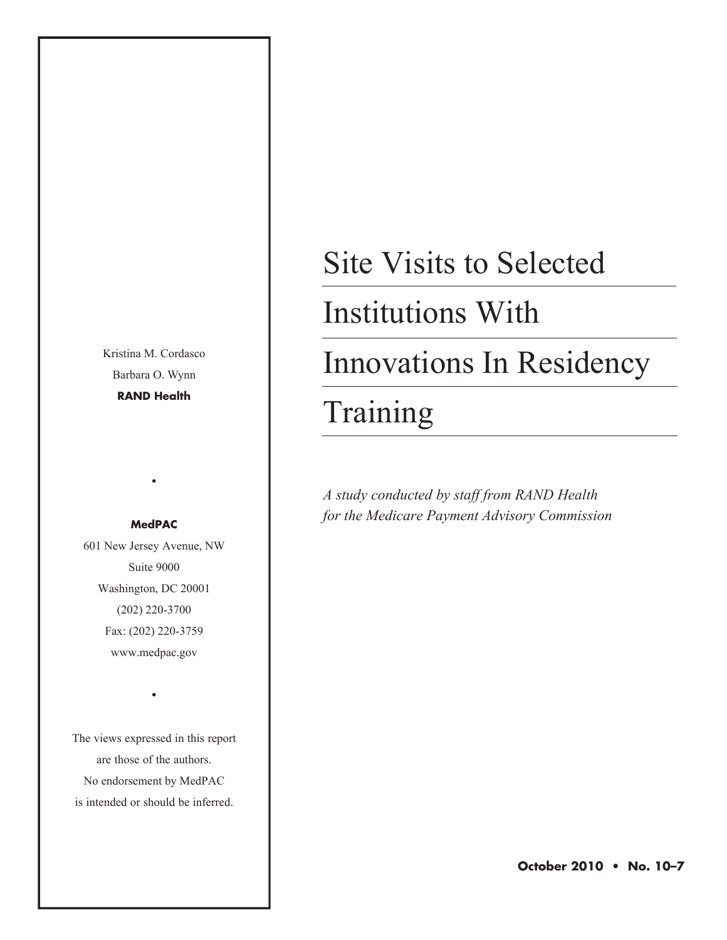Kristina M. Cordasco Barbara O. Wynn **RAND Health**

#### **MedPAC**

•

601 New Jersey Avenue, NW Suite 9000 Washington, DC 20001 (202) 220-3700 Fax: (202) 220-3759 www.medpac.gov

The views expressed in this report are those of the authors. No endorsement by MedPAC is intended or should be inferred.

•

# Site Visits to Selected

### Institutions With

### Innovations In Residency

### Training

*A study conducted by staff from RAND Health for the Medicare Payment Advisory Commission*

**October 2010 • No. 10–7**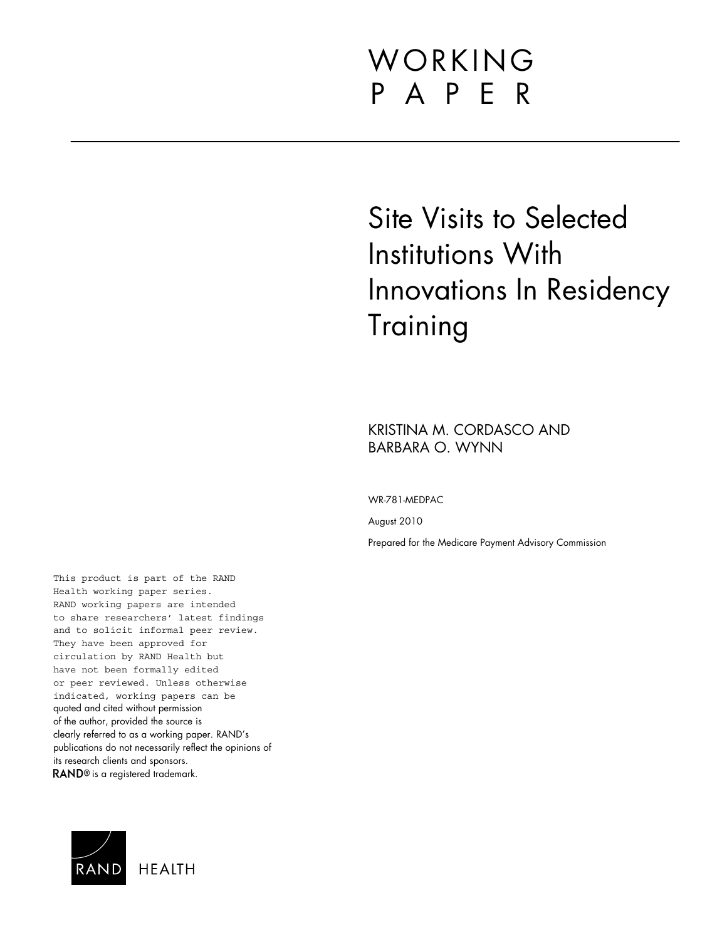## WORKING P A P E R

## Site Visits to Selected Institutions With Innovations In Residency **Training**

KRISTINA M. CORDASCO AND BARBARA O. WYNN

WR-781-MEDPAC

August 2010

Prepared for the Medicare Payment Advisory Commission

This product is part of the RAND Health working paper series. RAND working papers are intended to share researchers' latest findings and to solicit informal peer review. They have been approved for circulation by RAND Health but have not been formally edited or peer reviewed. Unless otherwise indicated, working papers can be quoted and cited without permission of the author, provided the source is clearly referred to as a working paper. RAND's publications do not necessarily reflect the opinions of its research clients and sponsors. RAND<sup>®</sup> is a registered trademark.

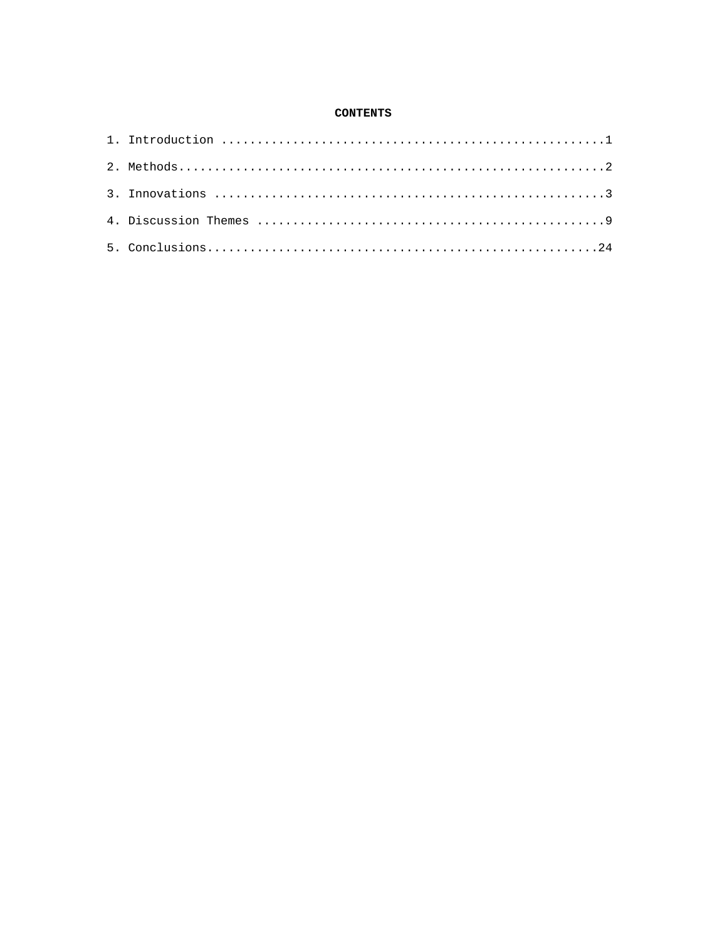#### **CONTENTS**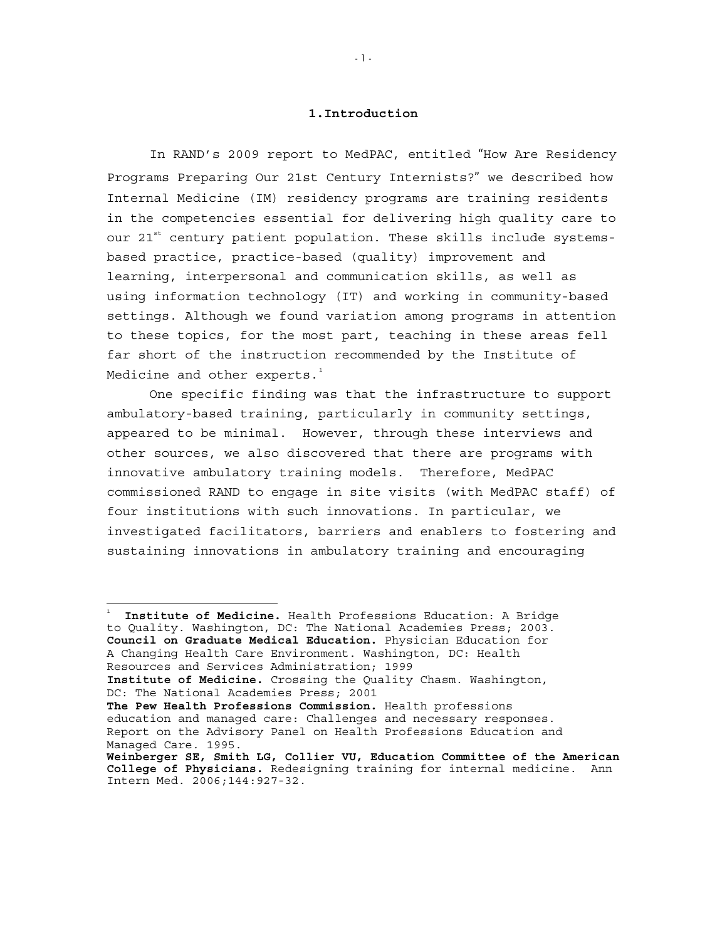#### **1.Introduction**

In RAND's 2009 report to MedPAC, entitled "How Are Residency Programs Preparing Our 21st Century Internists?" we described how Internal Medicine (IM) residency programs are training residents in the competencies essential for delivering high quality care to our  $21^{st}$  century patient population. These skills include systemsbased practice, practice-based (quality) improvement and learning, interpersonal and communication skills, as well as using information technology (IT) and working in community-based settings. Although we found variation among programs in attention to these topics, for the most part, teaching in these areas fell far short of the instruction recommended by the Institute of Medicine and other experts. $^{\rm 1}$  $^{\rm 1}$  $^{\rm 1}$ 

One specific finding was that the infrastructure to support ambulatory-based training, particularly in community settings, appeared to be minimal. However, through these interviews and other sources, we also discovered that there are programs with innovative ambulatory training models. Therefore, MedPAC commissioned RAND to engage in site visits (with MedPAC staff) of four institutions with such innovations. In particular, we investigated facilitators, barriers and enablers to fostering and sustaining innovations in ambulatory training and encouraging

<span id="page-4-0"></span><sup>1</sup> **Institute of Medicine.** Health Professions Education: A Bridge to Quality. Washington, DC: The National Academies Press; 2003. **Council on Graduate Medical Education.** Physician Education for A Changing Health Care Environment. Washington, DC: Health Resources and Services Administration; 1999 **Institute of Medicine.** Crossing the Quality Chasm. Washington, DC: The National Academies Press; 2001 **The Pew Health Professions Commission.** Health professions education and managed care: Challenges and necessary responses. Report on the Advisory Panel on Health Professions Education and Managed Care. 1995. **Weinberger SE, Smith LG, Collier VU, Education Committee of the American College of Physicians.** Redesigning training for internal medicine. Ann Intern Med. 2006;144:927-32.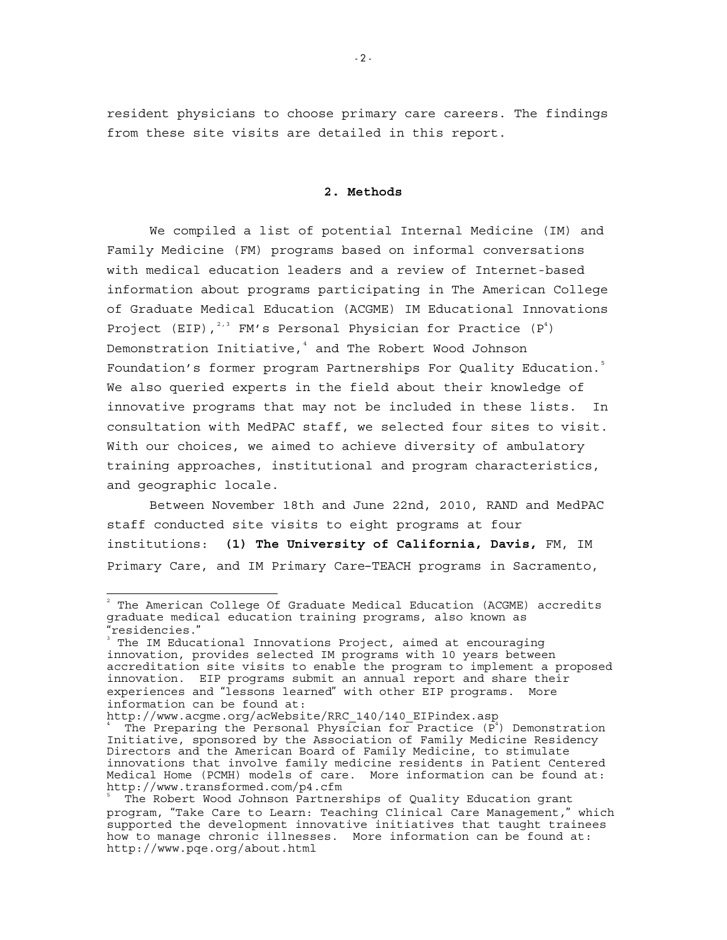resident physicians to choose primary care careers. The findings from these site visits are detailed in this report.

#### **2. Methods**

 We compiled a list of potential Internal Medicine (IM) and Family Medicine (FM) programs based on informal conversations with medical education leaders and a review of Internet-based information about programs participating in The American College of Graduate Medical Education (ACGME) IM Educational Innovations Project (EIP),  $2,3$  $2,3$  $2,3$  FM's Personal Physician for Practice (P<sup>4</sup>) Demonstration Initiative,<sup>[4](#page-5-2)</sup> and The Robert Wood Johnson Foundation's former program Partnerships For Quality Education.<sup>[5](#page-5-3)</sup> We also queried experts in the field about their knowledge of innovative programs that may not be included in these lists. In consultation with MedPAC staff, we selected four sites to visit. With our choices, we aimed to achieve diversity of ambulatory training approaches, institutional and program characteristics, and geographic locale.

Between November 18th and June 22nd, 2010, RAND and MedPAC staff conducted site visits to eight programs at four institutions: **(1) The University of California, Davis,** FM, IM Primary Care, and IM Primary Care–TEACH programs in Sacramento,

<span id="page-5-0"></span> $^{\text{2}}$  The American College Of Graduate Medical Education (ACGME) accredits graduate medical education training programs, also known as "residencies." 3

<span id="page-5-1"></span>The IM Educational Innovations Project, aimed at encouraging innovation, provides selected IM programs with 10 years between accreditation site visits to enable the program to implement a proposed innovation. EIP programs submit an annual report and share their experiences and "lessons learned" with other EIP programs. More information can be found at:

http://www.acgme.org/acWebsite/RRC\_140/140\_EIPindex.asp \

<span id="page-5-2"></span>The Preparing the Personal Physician for Practice  $(\bar{P}^4)$  Demonstration Initiative, sponsored by the Association of Family Medicine Residency Directors and the American Board of Family Medicine, to stimulate innovations that involve family medicine residents in Patient Centered Medical Home (PCMH) models of care. More information can be found at: http://www.transformed.com/p4.cfm

<span id="page-5-3"></span>The Robert Wood Johnson Partnerships of Quality Education grant program, "Take Care to Learn: Teaching Clinical Care Management," which supported the development innovative initiatives that taught trainees how to manage chronic illnesses. More information can be found at: http://www.pqe.org/about.html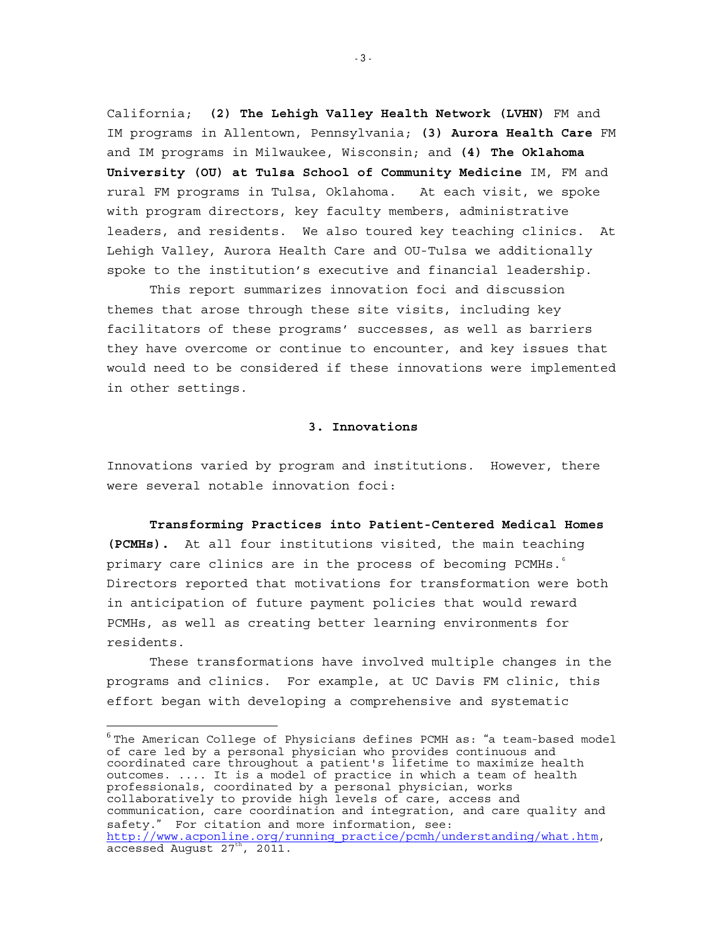California; **(2) The Lehigh Valley Health Network (LVHN)** FM and IM programs in Allentown, Pennsylvania; **(3) Aurora Health Care** FM and IM programs in Milwaukee, Wisconsin; and **(4) The Oklahoma University (OU) at Tulsa School of Community Medicine** IM, FM and rural FM programs in Tulsa, Oklahoma. At each visit, we spoke with program directors, key faculty members, administrative leaders, and residents. We also toured key teaching clinics. At Lehigh Valley, Aurora Health Care and OU-Tulsa we additionally spoke to the institution's executive and financial leadership.

This report summarizes innovation foci and discussion themes that arose through these site visits, including key facilitators of these programs' successes, as well as barriers they have overcome or continue to encounter, and key issues that would need to be considered if these innovations were implemented in other settings.

#### **3. Innovations**

Innovations varied by program and institutions. However, there were several notable innovation foci:

**Transforming Practices into Patient-Centered Medical Homes (PCMHs).** At all four institutions visited, the main teaching primary care clinics are in the process of becoming PCMHs.  $\degree$ Directors reported that motivations for transformation were both in anticipation of future payment policies that would reward PCMHs, as well as creating better learning environments for residents.

These transformations have involved multiple changes in the programs and clinics. For example, at UC Davis FM clinic, this effort began with developing a comprehensive and systematic

<span id="page-6-0"></span> $6$ The American College of Physicians defines PCMH as: "a team-based model of care led by a personal physician who provides continuous and coordinated care throughout a patient's lifetime to maximize health outcomes. .... It is a model of practice in which a team of health professionals, coordinated by a personal physician, works collaboratively to provide high levels of care, access and communication, care coordination and integration, and care quality and safety." For citation and more information, see: [http://www.acponline.org/running\\_practice/pcmh/understanding/what.htm,](http://www.acponline.org/running_practice/pcmh/understanding/what.htm) accessed August  $27<sup>th</sup>$ , 2011.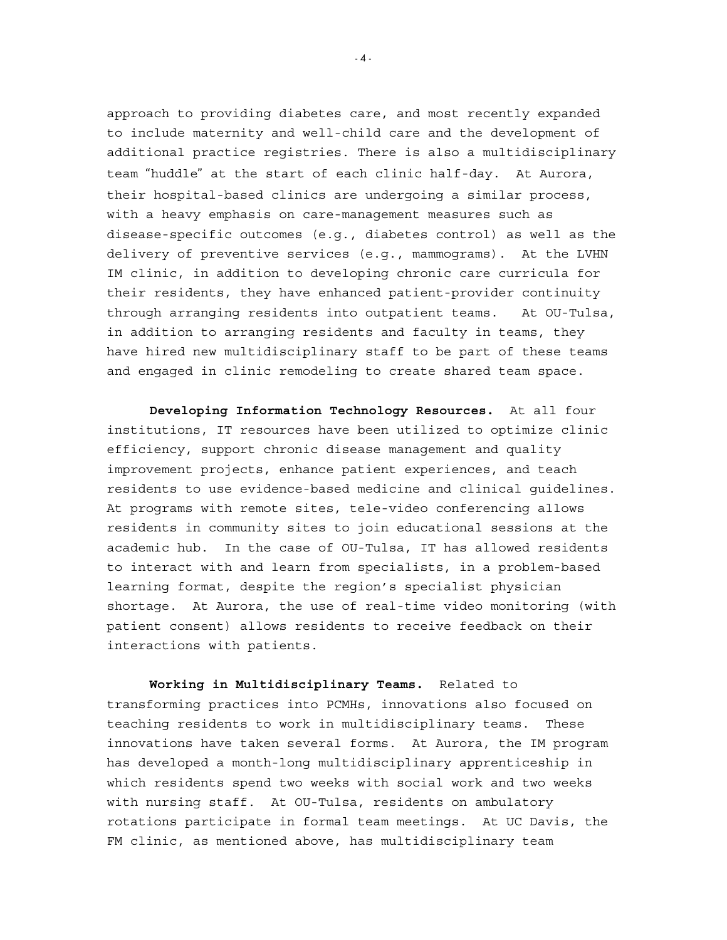approach to providing diabetes care, and most recently expanded to include maternity and well-child care and the development of additional practice registries. There is also a multidisciplinary team "huddle" at the start of each clinic half-day. At Aurora, their hospital-based clinics are undergoing a similar process, with a heavy emphasis on care-management measures such as disease-specific outcomes (e.g., diabetes control) as well as the delivery of preventive services (e.g., mammograms). At the LVHN IM clinic, in addition to developing chronic care curricula for their residents, they have enhanced patient-provider continuity through arranging residents into outpatient teams. At OU-Tulsa, in addition to arranging residents and faculty in teams, they have hired new multidisciplinary staff to be part of these teams and engaged in clinic remodeling to create shared team space.

**Developing Information Technology Resources.** At all four institutions, IT resources have been utilized to optimize clinic efficiency, support chronic disease management and quality improvement projects, enhance patient experiences, and teach residents to use evidence-based medicine and clinical guidelines. At programs with remote sites, tele-video conferencing allows residents in community sites to join educational sessions at the academic hub. In the case of OU-Tulsa, IT has allowed residents to interact with and learn from specialists, in a problem-based learning format, despite the region's specialist physician shortage. At Aurora, the use of real-time video monitoring (with patient consent) allows residents to receive feedback on their interactions with patients.

**Working in Multidisciplinary Teams.** Related to transforming practices into PCMHs, innovations also focused on teaching residents to work in multidisciplinary teams. These innovations have taken several forms. At Aurora, the IM program has developed a month-long multidisciplinary apprenticeship in which residents spend two weeks with social work and two weeks with nursing staff. At OU-Tulsa, residents on ambulatory rotations participate in formal team meetings. At UC Davis, the FM clinic, as mentioned above, has multidisciplinary team

 $- 4 -$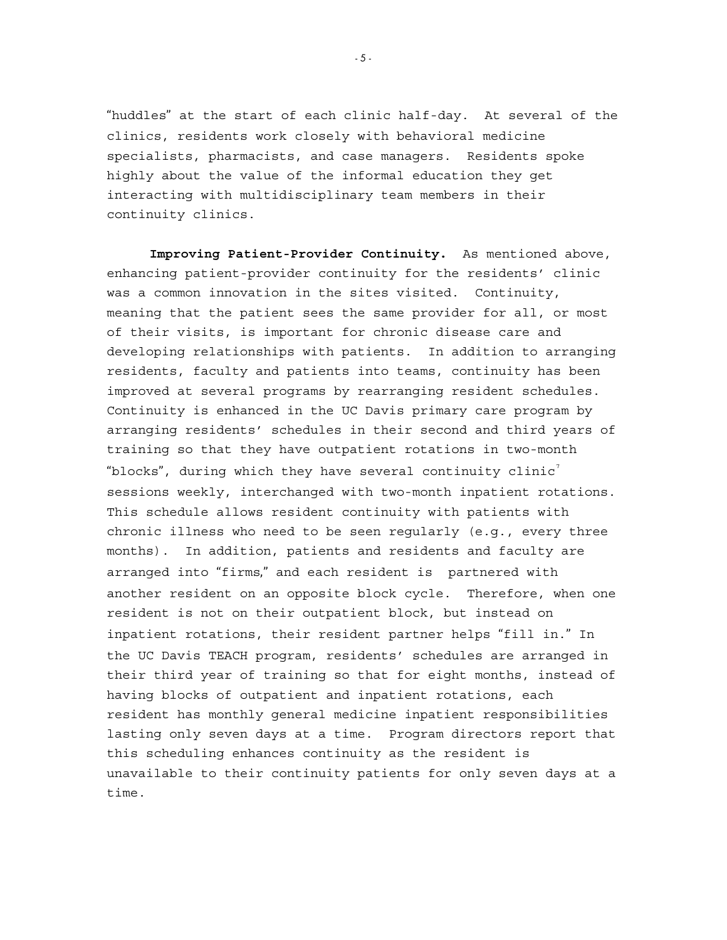"huddles" at the start of each clinic half-day. At several of the clinics, residents work closely with behavioral medicine specialists, pharmacists, and case managers. Residents spoke highly about the value of the informal education they get interacting with multidisciplinary team members in their continuity clinics.

<span id="page-8-0"></span>**Improving Patient-Provider Continuity.** As mentioned above, enhancing patient-provider continuity for the residents' clinic was a common innovation in the sites visited. Continuity, meaning that the patient sees the same provider for all, or most of their visits, is important for chronic disease care and developing relationships with patients. In addition to arranging residents, faculty and patients into teams, continuity has been improved at several programs by rearranging resident schedules. Continuity is enhanced in the UC Davis primary care program by arranging residents' schedules in their second and third years of training so that they have outpatient rotations in two-month "blocks", during which they have several continuity clinic<sup>[7](#page-8-0)</sup> sessions weekly, interchanged with two-month inpatient rotations. This schedule allows resident continuity with patients with chronic illness who need to be seen regularly (e.g., every three months). In addition, patients and residents and faculty are arranged into "firms," and each resident is partnered with another resident on an opposite block cycle. Therefore, when one resident is not on their outpatient block, but instead on inpatient rotations, their resident partner helps "fill in." In the UC Davis TEACH program, residents' schedules are arranged in their third year of training so that for eight months, instead of having blocks of outpatient and inpatient rotations, each resident has monthly general medicine inpatient responsibilities lasting only seven days at a time. Program directors report that this scheduling enhances continuity as the resident is unavailable to their continuity patients for only seven days at a time.

- 5 -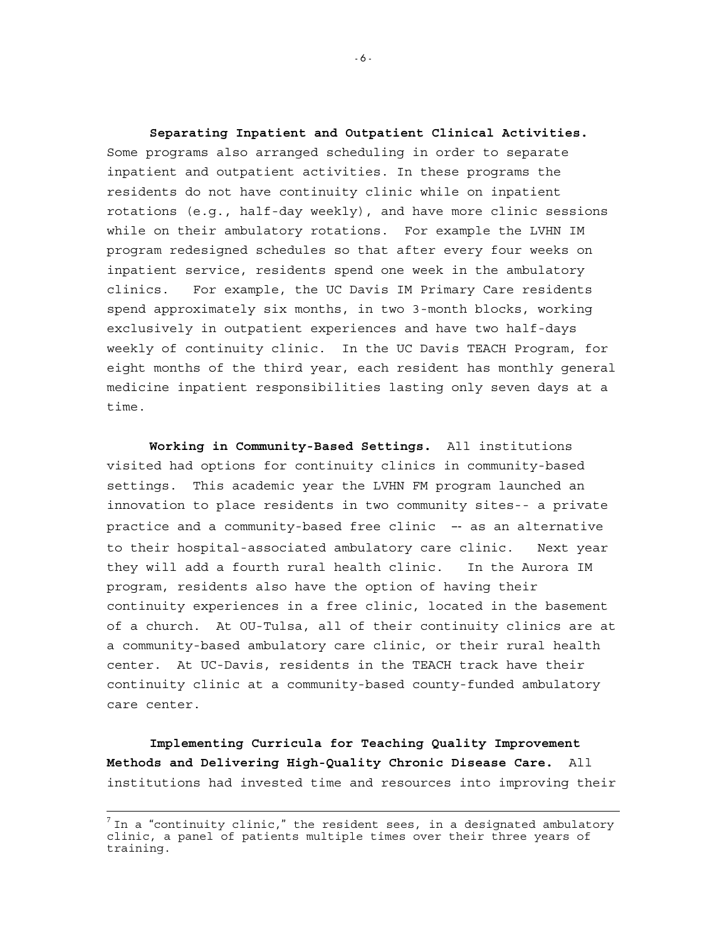**Separating Inpatient and Outpatient Clinical Activities.**  Some programs also arranged scheduling in order to separate inpatient and outpatient activities. In these programs the residents do not have continuity clinic while on inpatient rotations (e.g., half-day weekly), and have more clinic sessions while on their ambulatory rotations. For example the LVHN IM program redesigned schedules so that after every four weeks on inpatient service, residents spend one week in the ambulatory clinics. For example, the UC Davis IM Primary Care residents spend approximately six months, in two 3-month blocks, working exclusively in outpatient experiences and have two half-days weekly of continuity clinic. In the UC Davis TEACH Program, for eight months of the third year, each resident has monthly general medicine inpatient responsibilities lasting only seven days at a time.

**Working in Community-Based Settings.** All institutions visited had options for continuity clinics in community-based settings. This academic year the LVHN FM program launched an innovation to place residents in two community sites-- a private practice and a community-based free clinic –‐ as an alternative to their hospital-associated ambulatory care clinic. Next year they will add a fourth rural health clinic. In the Aurora IM program, residents also have the option of having their continuity experiences in a free clinic, located in the basement of a church. At OU-Tulsa, all of their continuity clinics are at a community-based ambulatory care clinic, or their rural health center. At UC-Davis, residents in the TEACH track have their continuity clinic at a community-based county-funded ambulatory care center.

**Implementing Curricula for Teaching Quality Improvement Methods and Delivering High-Quality Chronic Disease Care.** All institutions had invested time and resources into improving their

j

- 6 -

 $^7$  In a "continuity clinic," the resident sees, in a designated ambulatory clinic, a panel of patients multiple times over their three years of training.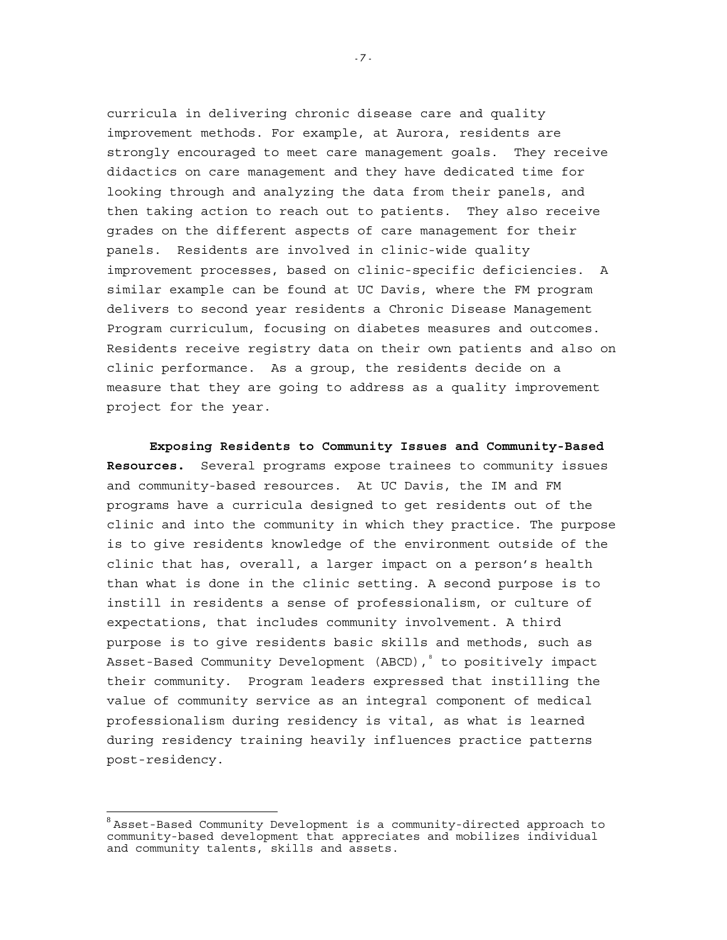curricula in delivering chronic disease care and quality improvement methods. For example, at Aurora, residents are strongly encouraged to meet care management goals. They receive didactics on care management and they have dedicated time for looking through and analyzing the data from their panels, and then taking action to reach out to patients. They also receive grades on the different aspects of care management for their panels. Residents are involved in clinic-wide quality improvement processes, based on clinic-specific deficiencies. A similar example can be found at UC Davis, where the FM program delivers to second year residents a Chronic Disease Management Program curriculum, focusing on diabetes measures and outcomes. Residents receive registry data on their own patients and also on clinic performance. As a group, the residents decide on a measure that they are going to address as a quality improvement project for the year.

**Exposing Residents to Community Issues and Community-Based Resources.** Several programs expose trainees to community issues and community-based resources. At UC Davis, the IM and FM programs have a curricula designed to get residents out of the clinic and into the community in which they practice. The purpose is to give residents knowledge of the environment outside of the clinic that has, overall, a larger impact on a person's health than what is done in the clinic setting. A second purpose is to instill in residents a sense of professionalism, or culture of expectations, that includes community involvement. A third purpose is to give residents basic skills and methods, such as Asset-Based Community Development (ABCD), to positively impact their community. Program leaders expressed that instilling the value of community service as an integral component of medical professionalism during residency is vital, as what is learned during residency training heavily influences practice patterns post-residency.

j

- 7 -

<span id="page-10-0"></span> $8$  Asset-Based Community Development is a community-directed approach to community-based development that appreciates and mobilizes individual and community talents, skills and assets.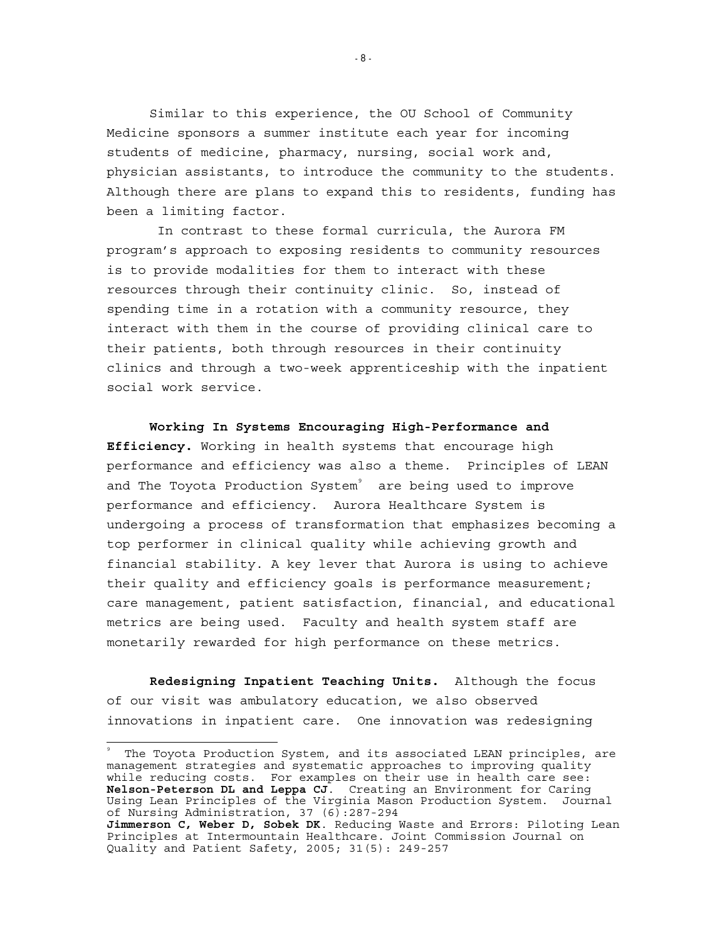Similar to this experience, the OU School of Community Medicine sponsors a summer institute each year for incoming students of medicine, pharmacy, nursing, social work and, physician assistants, to introduce the community to the students. Although there are plans to expand this to residents, funding has been a limiting factor.

 In contrast to these formal curricula, the Aurora FM program's approach to exposing residents to community resources is to provide modalities for them to interact with these resources through their continuity clinic. So, instead of spending time in a rotation with a community resource, they interact with them in the course of providing clinical care to their patients, both through resources in their continuity clinics and through a two-week apprenticeship with the inpatient social work service.

**Working In Systems Encouraging High-Performance and Efficiency.** Working in health systems that encourage high performance and efficiency was also a theme. Principles of LEAN and The Toyota Production System<sup>[9](#page-11-0)</sup> are being used to improve performance and efficiency. Aurora Healthcare System is undergoing a process of transformation that emphasizes becoming a top performer in clinical quality while achieving growth and financial stability. A key lever that Aurora is using to achieve their quality and efficiency goals is performance measurement; care management, patient satisfaction, financial, and educational metrics are being used. Faculty and health system staff are monetarily rewarded for high performance on these metrics.

**Redesigning Inpatient Teaching Units.** Although the focus of our visit was ambulatory education, we also observed innovations in inpatient care. One innovation was redesigning

<span id="page-11-0"></span>9 The Toyota Production System, and its associated LEAN principles, are management strategies and systematic approaches to improving quality while reducing costs. For examples on their use in health care see: **Nelson-Peterson DL and Leppa CJ**. Creating an Environment for Caring Using Lean Principles of the Virginia Mason Production System. Journal of Nursing Administration, 37 (6):287-294 **Jimmerson C, Weber D, Sobek DK**. Reducing Waste and Errors: Piloting Lean Principles at Intermountain Healthcare. Joint Commission Journal on

Quality and Patient Safety, 2005; 31(5): 249-257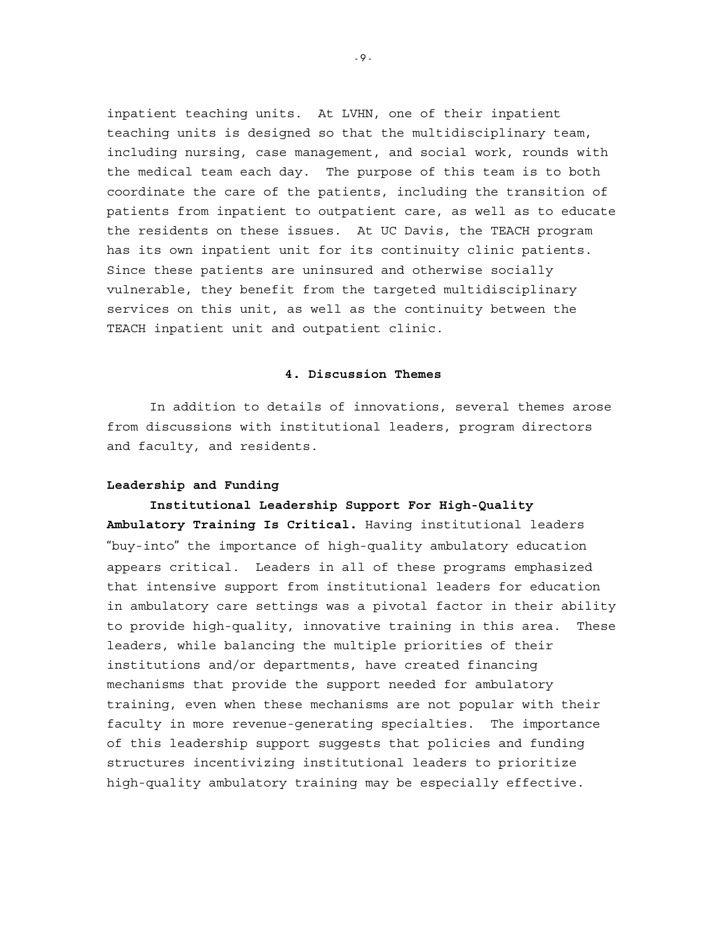inpatient teaching units. At LVHN, one of their inpatient teaching units is designed so that the multidisciplinary team, including nursing, case management, and social work, rounds with the medical team each day. The purpose of this team is to both coordinate the care of the patients, including the transition of patients from inpatient to outpatient care, as well as to educate the residents on these issues. At UC Davis, the TEACH program has its own inpatient unit for its continuity clinic patients. Since these patients are uninsured and otherwise socially vulnerable, they benefit from the targeted multidisciplinary services on this unit, as well as the continuity between the TEACH inpatient unit and outpatient clinic.

#### **4. Discussion Themes**

 In addition to details of innovations, several themes arose from discussions with institutional leaders, program directors and faculty, and residents.

#### **Leadership and Funding**

**Institutional Leadership Support For High-Quality Ambulatory Training Is Critical.** Having institutional leaders "buy-into" the importance of high-quality ambulatory education appears critical. Leaders in all of these programs emphasized that intensive support from institutional leaders for education in ambulatory care settings was a pivotal factor in their ability to provide high-quality, innovative training in this area. These leaders, while balancing the multiple priorities of their institutions and/or departments, have created financing mechanisms that provide the support needed for ambulatory training, even when these mechanisms are not popular with their faculty in more revenue-generating specialties. The importance of this leadership support suggests that policies and funding structures incentivizing institutional leaders to prioritize high-quality ambulatory training may be especially effective.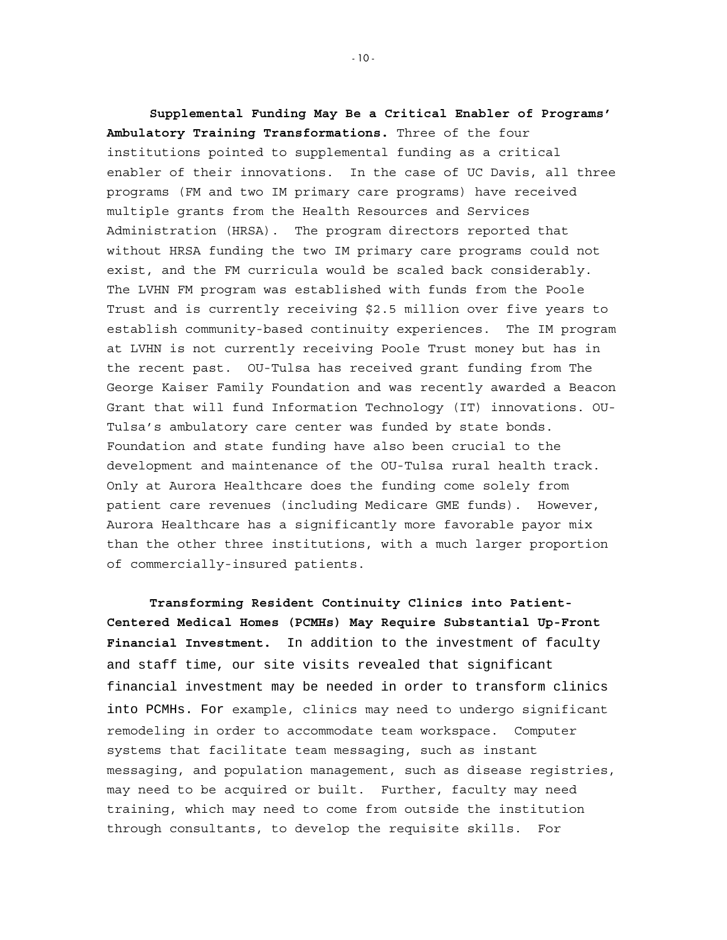**Supplemental Funding May Be a Critical Enabler of Programs' Ambulatory Training Transformations.** Three of the four institutions pointed to supplemental funding as a critical enabler of their innovations. In the case of UC Davis, all three programs (FM and two IM primary care programs) have received multiple grants from the Health Resources and Services Administration (HRSA). The program directors reported that without HRSA funding the two IM primary care programs could not exist, and the FM curricula would be scaled back considerably. The LVHN FM program was established with funds from the Poole Trust and is currently receiving \$2.5 million over five years to establish community-based continuity experiences. The IM program at LVHN is not currently receiving Poole Trust money but has in the recent past. OU-Tulsa has received grant funding from The George Kaiser Family Foundation and was recently awarded a Beacon Grant that will fund Information Technology (IT) innovations. OU-Tulsa's ambulatory care center was funded by state bonds. Foundation and state funding have also been crucial to the development and maintenance of the OU-Tulsa rural health track. Only at Aurora Healthcare does the funding come solely from patient care revenues (including Medicare GME funds). However, Aurora Healthcare has a significantly more favorable payor mix than the other three institutions, with a much larger proportion of commercially-insured patients.

**Transforming Resident Continuity Clinics into Patient-Centered Medical Homes (PCMHs) May Require Substantial Up-Front Financial Investment.** In addition to the investment of faculty and staff time, our site visits revealed that significant financial investment may be needed in order to transform clinics into PCMHs. For example, clinics may need to undergo significant remodeling in order to accommodate team workspace. Computer systems that facilitate team messaging, such as instant messaging, and population management, such as disease registries, may need to be acquired or built. Further, faculty may need training, which may need to come from outside the institution through consultants, to develop the requisite skills. For

- 10 -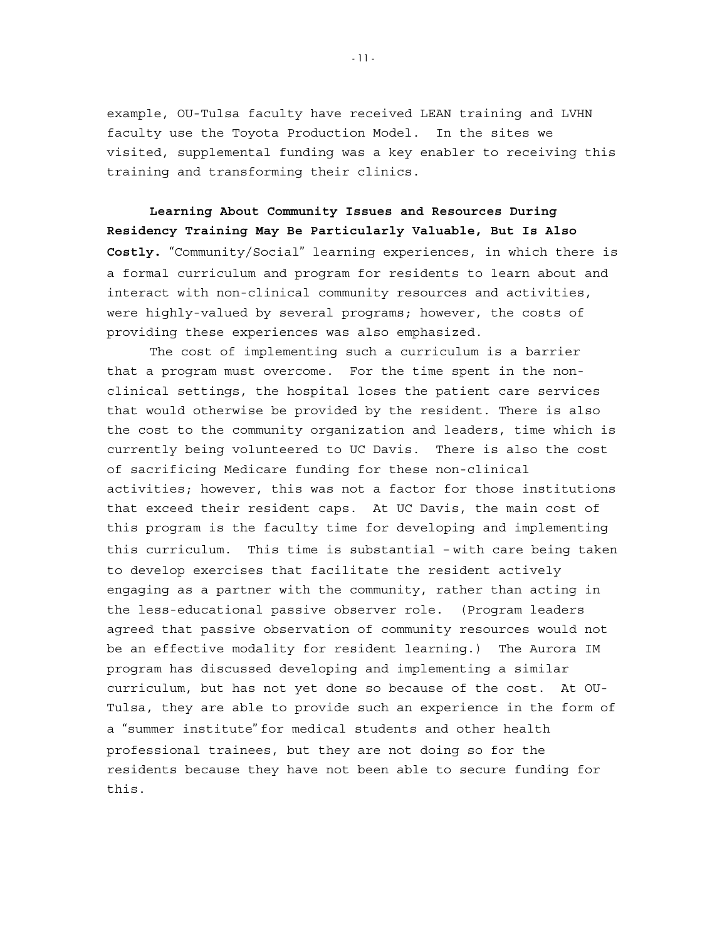example, OU-Tulsa faculty have received LEAN training and LVHN faculty use the Toyota Production Model. In the sites we visited, supplemental funding was a key enabler to receiving this training and transforming their clinics.

**Learning About Community Issues and Resources During Residency Training May Be Particularly Valuable, But Is Also Costly.** "Community/Social" learning experiences, in which there is a formal curriculum and program for residents to learn about and interact with non-clinical community resources and activities, were highly-valued by several programs; however, the costs of providing these experiences was also emphasized.

The cost of implementing such a curriculum is a barrier that a program must overcome. For the time spent in the nonclinical settings, the hospital loses the patient care services that would otherwise be provided by the resident. There is also the cost to the community organization and leaders, time which is currently being volunteered to UC Davis. There is also the cost of sacrificing Medicare funding for these non-clinical activities; however, this was not a factor for those institutions that exceed their resident caps. At UC Davis, the main cost of this program is the faculty time for developing and implementing this curriculum. This time is substantial – with care being taken to develop exercises that facilitate the resident actively engaging as a partner with the community, rather than acting in the less-educational passive observer role. (Program leaders agreed that passive observation of community resources would not be an effective modality for resident learning.) The Aurora IM program has discussed developing and implementing a similar curriculum, but has not yet done so because of the cost. At OU-Tulsa, they are able to provide such an experience in the form of a "summer institute" for medical students and other health professional trainees, but they are not doing so for the residents because they have not been able to secure funding for this.

- 11 -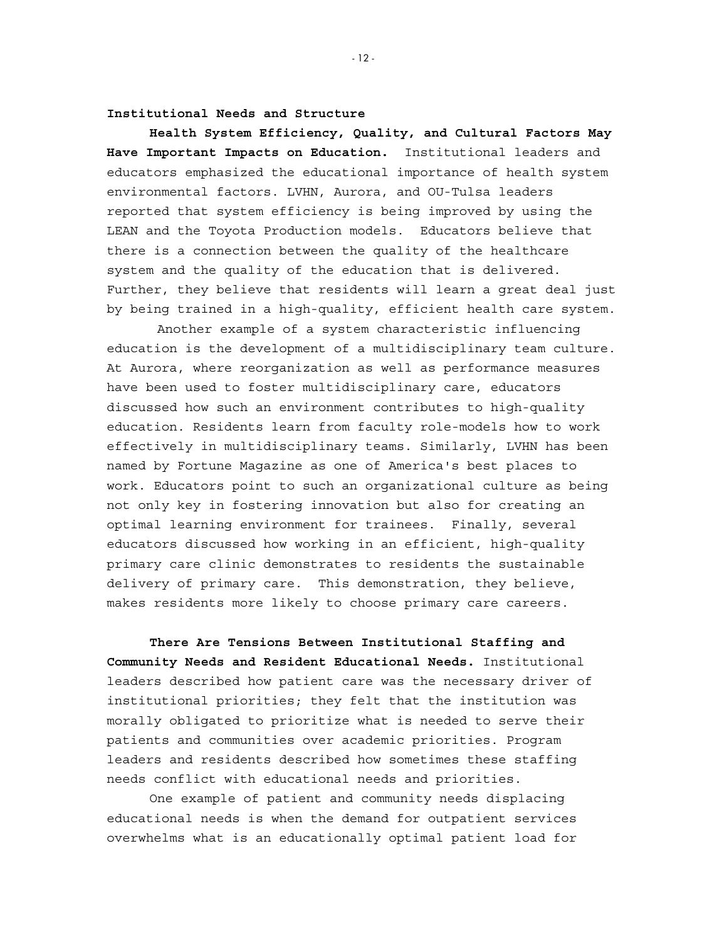**Institutional Needs and Structure** 

**Health System Efficiency, Quality, and Cultural Factors May Have Important Impacts on Education.** Institutional leaders and educators emphasized the educational importance of health system environmental factors. LVHN, Aurora, and OU-Tulsa leaders reported that system efficiency is being improved by using the LEAN and the Toyota Production models. Educators believe that there is a connection between the quality of the healthcare system and the quality of the education that is delivered. Further, they believe that residents will learn a great deal just by being trained in a high-quality, efficient health care system.

 Another example of a system characteristic influencing education is the development of a multidisciplinary team culture. At Aurora, where reorganization as well as performance measures have been used to foster multidisciplinary care, educators discussed how such an environment contributes to high-quality education. Residents learn from faculty role-models how to work effectively in multidisciplinary teams. Similarly, LVHN has been named by Fortune Magazine as one of America's best places to work. Educators point to such an organizational culture as being not only key in fostering innovation but also for creating an optimal learning environment for trainees. Finally, several educators discussed how working in an efficient, high-quality primary care clinic demonstrates to residents the sustainable delivery of primary care. This demonstration, they believe, makes residents more likely to choose primary care careers.

**There Are Tensions Between Institutional Staffing and Community Needs and Resident Educational Needs.** Institutional leaders described how patient care was the necessary driver of institutional priorities; they felt that the institution was morally obligated to prioritize what is needed to serve their patients and communities over academic priorities. Program leaders and residents described how sometimes these staffing needs conflict with educational needs and priorities.

One example of patient and community needs displacing educational needs is when the demand for outpatient services overwhelms what is an educationally optimal patient load for

- 12 -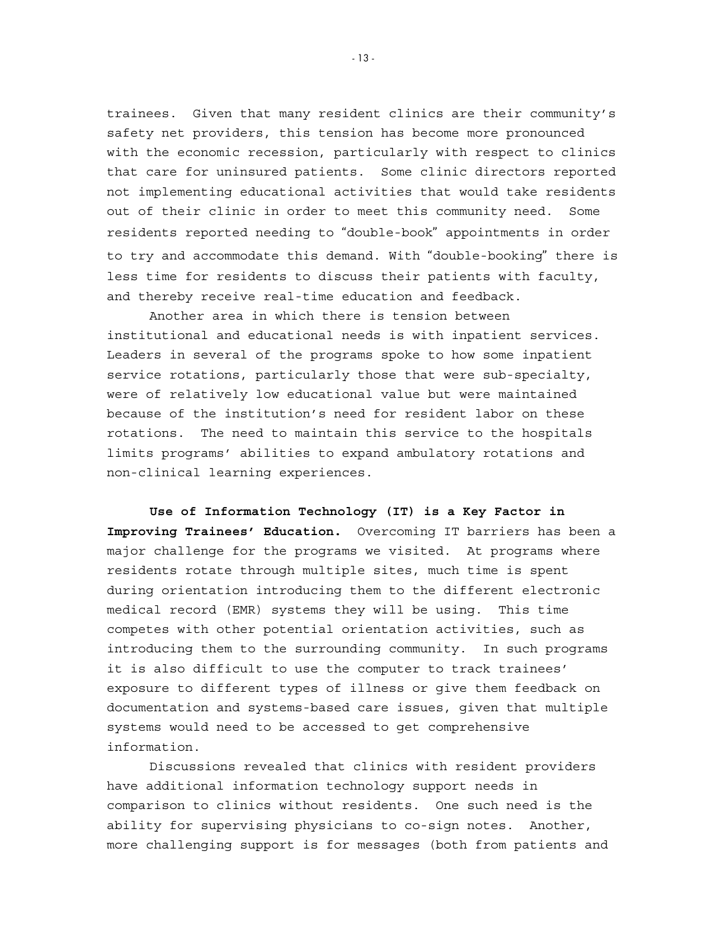trainees. Given that many resident clinics are their community's safety net providers, this tension has become more pronounced with the economic recession, particularly with respect to clinics that care for uninsured patients. Some clinic directors reported not implementing educational activities that would take residents out of their clinic in order to meet this community need. Some residents reported needing to "double-book" appointments in order to try and accommodate this demand. With "double-booking" there is less time for residents to discuss their patients with faculty, and thereby receive real-time education and feedback.

Another area in which there is tension between institutional and educational needs is with inpatient services. Leaders in several of the programs spoke to how some inpatient service rotations, particularly those that were sub-specialty, were of relatively low educational value but were maintained because of the institution's need for resident labor on these rotations. The need to maintain this service to the hospitals limits programs' abilities to expand ambulatory rotations and non-clinical learning experiences.

**Use of Information Technology (IT) is a Key Factor in Improving Trainees' Education.** Overcoming IT barriers has been a major challenge for the programs we visited. At programs where residents rotate through multiple sites, much time is spent during orientation introducing them to the different electronic medical record (EMR) systems they will be using. This time competes with other potential orientation activities, such as introducing them to the surrounding community. In such programs it is also difficult to use the computer to track trainees' exposure to different types of illness or give them feedback on documentation and systems-based care issues, given that multiple systems would need to be accessed to get comprehensive information.

Discussions revealed that clinics with resident providers have additional information technology support needs in comparison to clinics without residents. One such need is the ability for supervising physicians to co-sign notes. Another, more challenging support is for messages (both from patients and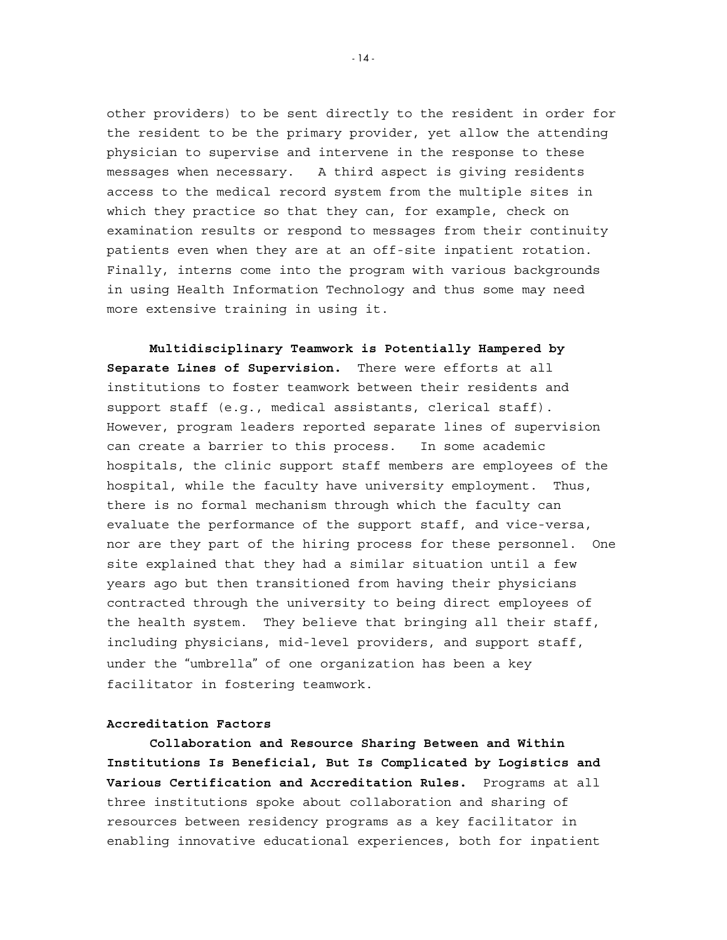other providers) to be sent directly to the resident in order for the resident to be the primary provider, yet allow the attending physician to supervise and intervene in the response to these messages when necessary. A third aspect is giving residents access to the medical record system from the multiple sites in which they practice so that they can, for example, check on examination results or respond to messages from their continuity patients even when they are at an off-site inpatient rotation. Finally, interns come into the program with various backgrounds in using Health Information Technology and thus some may need more extensive training in using it.

**Multidisciplinary Teamwork is Potentially Hampered by Separate Lines of Supervision.** There were efforts at all institutions to foster teamwork between their residents and support staff (e.g., medical assistants, clerical staff). However, program leaders reported separate lines of supervision can create a barrier to this process. In some academic hospitals, the clinic support staff members are employees of the hospital, while the faculty have university employment. Thus, there is no formal mechanism through which the faculty can evaluate the performance of the support staff, and vice-versa, nor are they part of the hiring process for these personnel. One site explained that they had a similar situation until a few years ago but then transitioned from having their physicians contracted through the university to being direct employees of the health system. They believe that bringing all their staff, including physicians, mid-level providers, and support staff, under the "umbrella" of one organization has been a key facilitator in fostering teamwork.

#### **Accreditation Factors**

**Collaboration and Resource Sharing Between and Within Institutions Is Beneficial, But Is Complicated by Logistics and Various Certification and Accreditation Rules.** Programs at all three institutions spoke about collaboration and sharing of resources between residency programs as a key facilitator in enabling innovative educational experiences, both for inpatient

 $-14-$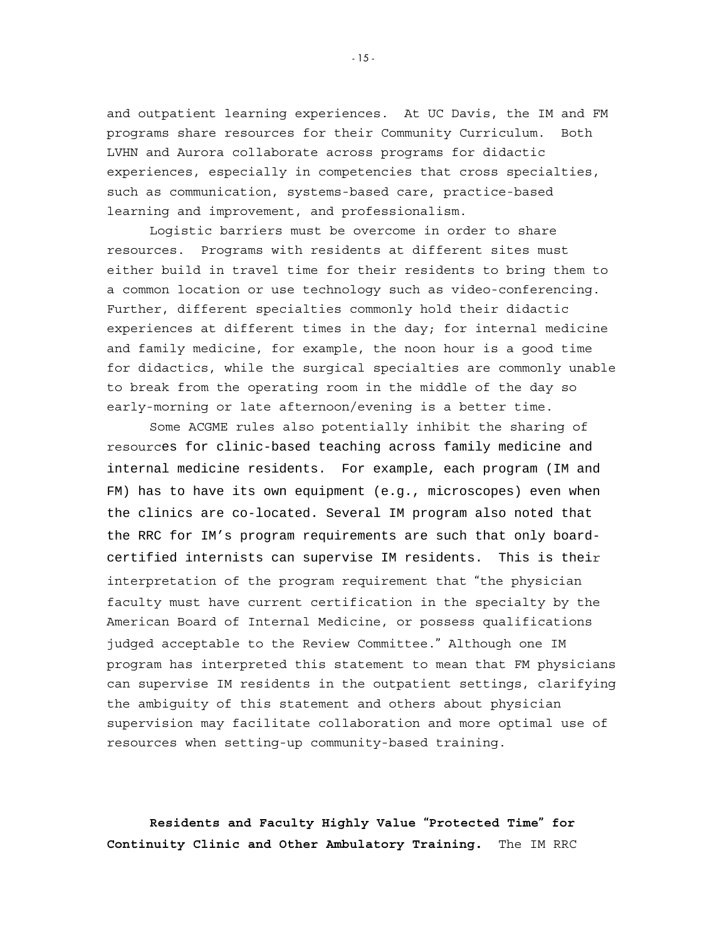and outpatient learning experiences. At UC Davis, the IM and FM programs share resources for their Community Curriculum. Both LVHN and Aurora collaborate across programs for didactic experiences, especially in competencies that cross specialties, such as communication, systems-based care, practice-based learning and improvement, and professionalism.

 Logistic barriers must be overcome in order to share resources. Programs with residents at different sites must either build in travel time for their residents to bring them to a common location or use technology such as video-conferencing. Further, different specialties commonly hold their didactic experiences at different times in the day; for internal medicine and family medicine, for example, the noon hour is a good time for didactics, while the surgical specialties are commonly unable to break from the operating room in the middle of the day so early-morning or late afternoon/evening is a better time.

 Some ACGME rules also potentially inhibit the sharing of resources for clinic-based teaching across family medicine and internal medicine residents. For example, each program (IM and FM) has to have its own equipment (e.g., microscopes) even when the clinics are co-located. Several IM program also noted that the RRC for IM's program requirements are such that only boardcertified internists can supervise IM residents. This is their interpretation of the program requirement that "the physician faculty must have current certification in the specialty by the American Board of Internal Medicine, or possess qualifications judged acceptable to the Review Committee." Although one IM program has interpreted this statement to mean that FM physicians can supervise IM residents in the outpatient settings, clarifying the ambiguity of this statement and others about physician supervision may facilitate collaboration and more optimal use of resources when setting-up community-based training.

**Residents and Faculty Highly Value "Protected Time" for Continuity Clinic and Other Ambulatory Training.** The IM RRC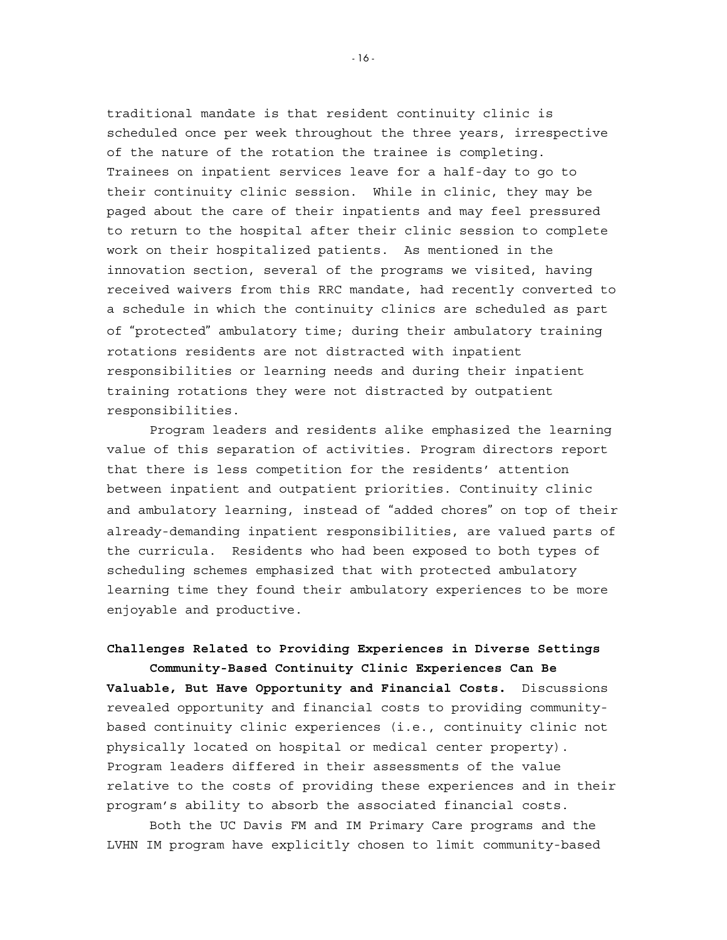traditional mandate is that resident continuity clinic is scheduled once per week throughout the three years, irrespective of the nature of the rotation the trainee is completing. Trainees on inpatient services leave for a half-day to go to their continuity clinic session. While in clinic, they may be paged about the care of their inpatients and may feel pressured to return to the hospital after their clinic session to complete work on their hospitalized patients. As mentioned in the innovation section, several of the programs we visited, having received waivers from this RRC mandate, had recently converted to a schedule in which the continuity clinics are scheduled as part of "protected" ambulatory time; during their ambulatory training rotations residents are not distracted with inpatient responsibilities or learning needs and during their inpatient training rotations they were not distracted by outpatient responsibilities.

Program leaders and residents alike emphasized the learning value of this separation of activities. Program directors report that there is less competition for the residents' attention between inpatient and outpatient priorities. Continuity clinic and ambulatory learning, instead of "added chores" on top of their already-demanding inpatient responsibilities, are valued parts of the curricula. Residents who had been exposed to both types of scheduling schemes emphasized that with protected ambulatory learning time they found their ambulatory experiences to be more enjoyable and productive.

#### **Challenges Related to Providing Experiences in Diverse Settings Community-Based Continuity Clinic Experiences Can Be**

**Valuable, But Have Opportunity and Financial Costs.**Discussions revealed opportunity and financial costs to providing communitybased continuity clinic experiences (i.e., continuity clinic not physically located on hospital or medical center property). Program leaders differed in their assessments of the value relative to the costs of providing these experiences and in their program's ability to absorb the associated financial costs.

Both the UC Davis FM and IM Primary Care programs and the LVHN IM program have explicitly chosen to limit community-based

- 16 -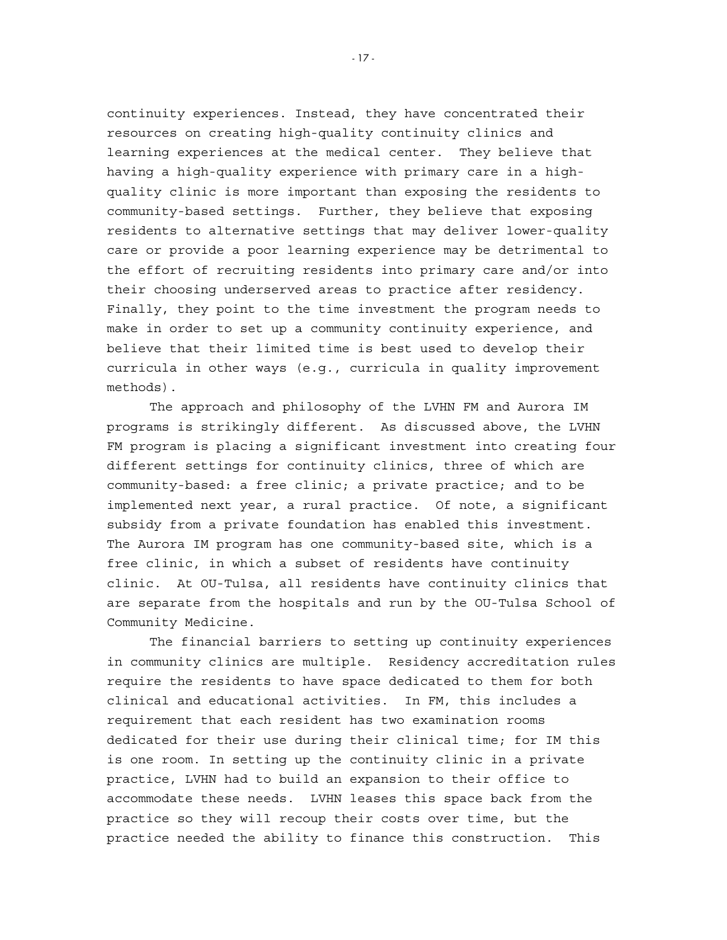continuity experiences. Instead, they have concentrated their resources on creating high-quality continuity clinics and learning experiences at the medical center. They believe that having a high-quality experience with primary care in a highquality clinic is more important than exposing the residents to community-based settings. Further, they believe that exposing residents to alternative settings that may deliver lower-quality care or provide a poor learning experience may be detrimental to the effort of recruiting residents into primary care and/or into their choosing underserved areas to practice after residency. Finally, they point to the time investment the program needs to make in order to set up a community continuity experience, and believe that their limited time is best used to develop their curricula in other ways (e.g., curricula in quality improvement methods).

The approach and philosophy of the LVHN FM and Aurora IM programs is strikingly different. As discussed above, the LVHN FM program is placing a significant investment into creating four different settings for continuity clinics, three of which are community-based: a free clinic; a private practice; and to be implemented next year, a rural practice. Of note, a significant subsidy from a private foundation has enabled this investment. The Aurora IM program has one community-based site, which is a free clinic, in which a subset of residents have continuity clinic. At OU-Tulsa, all residents have continuity clinics that are separate from the hospitals and run by the OU-Tulsa School of Community Medicine.

The financial barriers to setting up continuity experiences in community clinics are multiple. Residency accreditation rules require the residents to have space dedicated to them for both clinical and educational activities. In FM, this includes a requirement that each resident has two examination rooms dedicated for their use during their clinical time; for IM this is one room. In setting up the continuity clinic in a private practice, LVHN had to build an expansion to their office to accommodate these needs. LVHN leases this space back from the practice so they will recoup their costs over time, but the practice needed the ability to finance this construction. This

- 17 -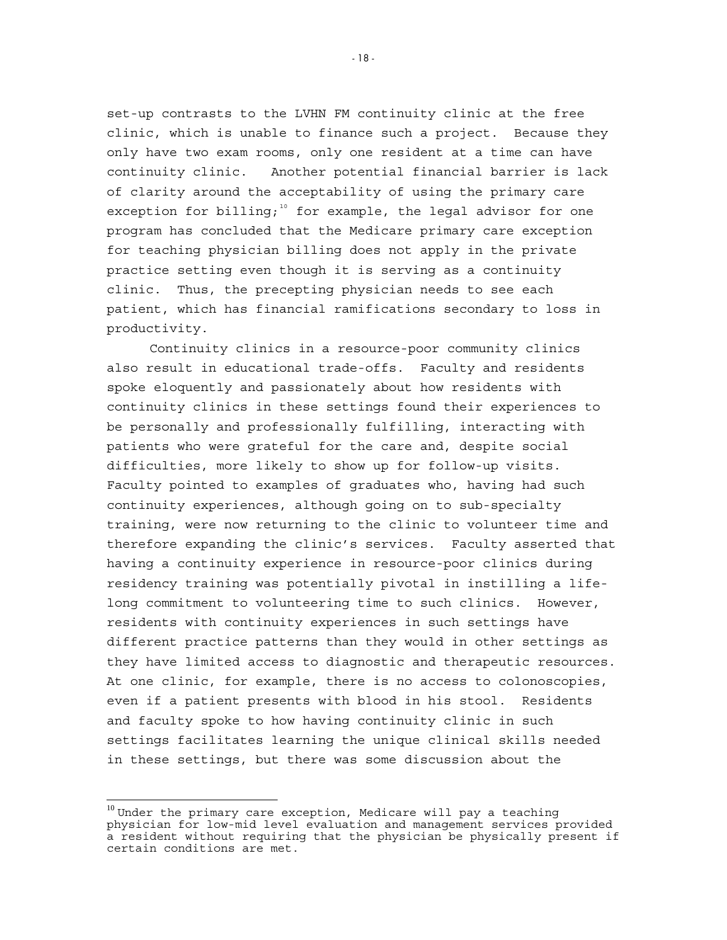set-up contrasts to the LVHN FM continuity clinic at the free clinic, which is unable to finance such a project. Because they only have two exam rooms, only one resident at a time can have continuity clinic. Another potential financial barrier is lack of clarity around the acceptability of using the primary care exception for billing;<sup>[10](#page-21-0)</sup> for example, the legal advisor for one program has concluded that the Medicare primary care exception for teaching physician billing does not apply in the private practice setting even though it is serving as a continuity clinic. Thus, the precepting physician needs to see each patient, which has financial ramifications secondary to loss in productivity.

Continuity clinics in a resource-poor community clinics also result in educational trade-offs. Faculty and residents spoke eloquently and passionately about how residents with continuity clinics in these settings found their experiences to be personally and professionally fulfilling, interacting with patients who were grateful for the care and, despite social difficulties, more likely to show up for follow-up visits. Faculty pointed to examples of graduates who, having had such continuity experiences, although going on to sub-specialty training, were now returning to the clinic to volunteer time and therefore expanding the clinic's services. Faculty asserted that having a continuity experience in resource-poor clinics during residency training was potentially pivotal in instilling a lifelong commitment to volunteering time to such clinics. However, residents with continuity experiences in such settings have different practice patterns than they would in other settings as they have limited access to diagnostic and therapeutic resources. At one clinic, for example, there is no access to colonoscopies, even if a patient presents with blood in his stool. Residents and faculty spoke to how having continuity clinic in such settings facilitates learning the unique clinical skills needed in these settings, but there was some discussion about the

- 18 -

<span id="page-21-0"></span> $\frac{10}{10}$ Under the primary care exception, Medicare will pay a teaching physician for low-mid level evaluation and management services provided a resident without requiring that the physician be physically present if certain conditions are met.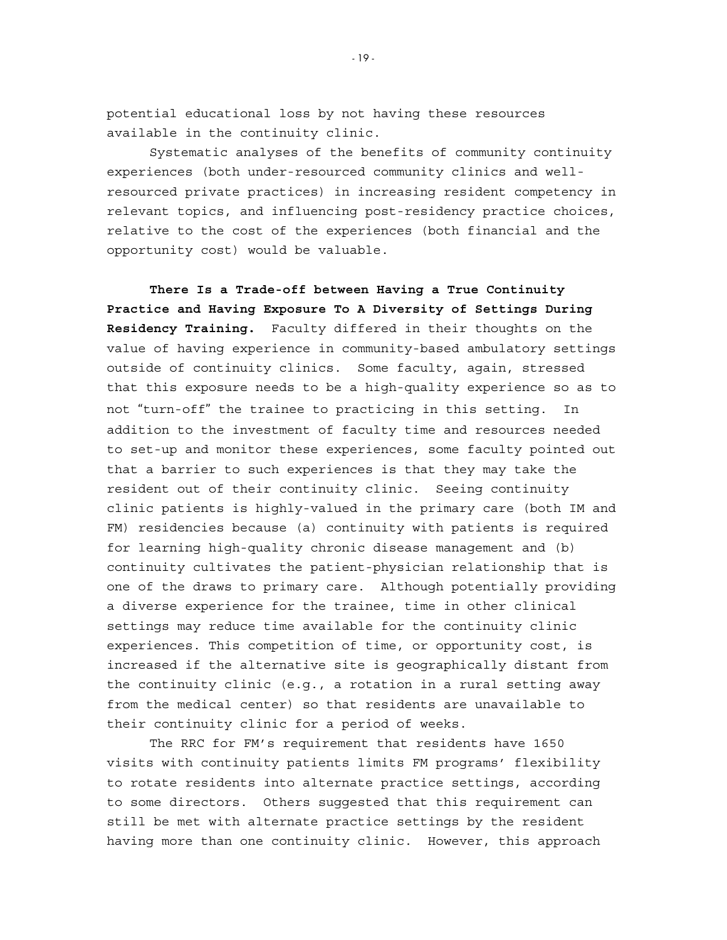potential educational loss by not having these resources available in the continuity clinic.

Systematic analyses of the benefits of community continuity experiences (both under-resourced community clinics and wellresourced private practices) in increasing resident competency in relevant topics, and influencing post-residency practice choices, relative to the cost of the experiences (both financial and the opportunity cost) would be valuable.

 **There Is a Trade-off between Having a True Continuity Practice and Having Exposure To A Diversity of Settings During Residency Training.** Faculty differed in their thoughts on the value of having experience in community-based ambulatory settings outside of continuity clinics. Some faculty, again, stressed that this exposure needs to be a high-quality experience so as to not "turn-off" the trainee to practicing in this setting. In addition to the investment of faculty time and resources needed to set-up and monitor these experiences, some faculty pointed out that a barrier to such experiences is that they may take the resident out of their continuity clinic. Seeing continuity clinic patients is highly-valued in the primary care (both IM and FM) residencies because (a) continuity with patients is required for learning high-quality chronic disease management and (b) continuity cultivates the patient-physician relationship that is one of the draws to primary care. Although potentially providing a diverse experience for the trainee, time in other clinical settings may reduce time available for the continuity clinic experiences. This competition of time, or opportunity cost, is increased if the alternative site is geographically distant from the continuity clinic (e.g., a rotation in a rural setting away from the medical center) so that residents are unavailable to their continuity clinic for a period of weeks.

The RRC for FM's requirement that residents have 1650 visits with continuity patients limits FM programs' flexibility to rotate residents into alternate practice settings, according to some directors. Others suggested that this requirement can still be met with alternate practice settings by the resident having more than one continuity clinic. However, this approach

- 19 -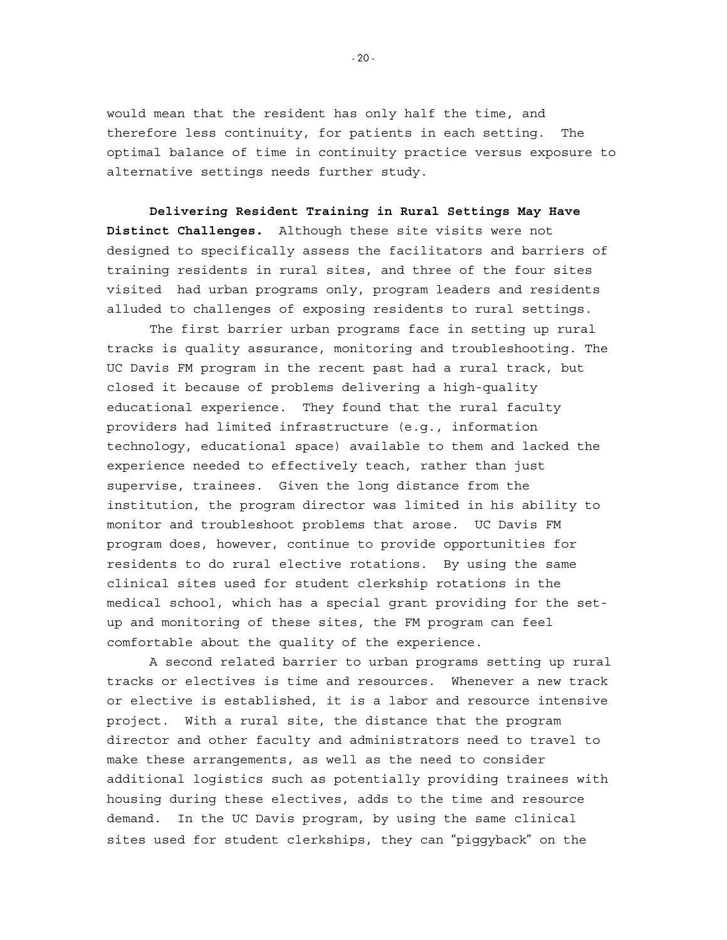would mean that the resident has only half the time, and therefore less continuity, for patients in each setting. The optimal balance of time in continuity practice versus exposure to alternative settings needs further study.

**Delivering Resident Training in Rural Settings May Have Distinct Challenges.** Although these site visits were not designed to specifically assess the facilitators and barriers of training residents in rural sites, and three of the four sites visited had urban programs only, program leaders and residents alluded to challenges of exposing residents to rural settings.

The first barrier urban programs face in setting up rural tracks is quality assurance, monitoring and troubleshooting. The UC Davis FM program in the recent past had a rural track, but closed it because of problems delivering a high-quality educational experience. They found that the rural faculty providers had limited infrastructure (e.g., information technology, educational space) available to them and lacked the experience needed to effectively teach, rather than just supervise, trainees. Given the long distance from the institution, the program director was limited in his ability to monitor and troubleshoot problems that arose. UC Davis FM program does, however, continue to provide opportunities for residents to do rural elective rotations. By using the same clinical sites used for student clerkship rotations in the medical school, which has a special grant providing for the setup and monitoring of these sites, the FM program can feel comfortable about the quality of the experience.

A second related barrier to urban programs setting up rural tracks or electives is time and resources. Whenever a new track or elective is established, it is a labor and resource intensive project. With a rural site, the distance that the program director and other faculty and administrators need to travel to make these arrangements, as well as the need to consider additional logistics such as potentially providing trainees with housing during these electives, adds to the time and resource demand. In the UC Davis program, by using the same clinical sites used for student clerkships, they can "piggyback" on the

- 20 -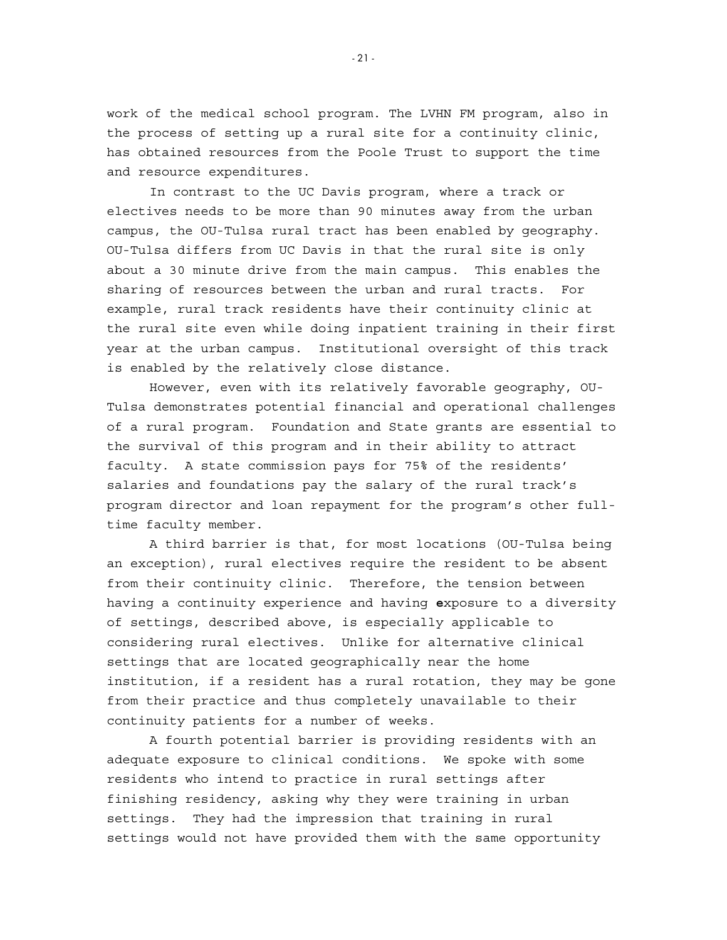work of the medical school program. The LVHN FM program, also in the process of setting up a rural site for a continuity clinic, has obtained resources from the Poole Trust to support the time and resource expenditures.

In contrast to the UC Davis program, where a track or electives needs to be more than 90 minutes away from the urban campus, the OU-Tulsa rural tract has been enabled by geography. OU-Tulsa differs from UC Davis in that the rural site is only about a 30 minute drive from the main campus. This enables the sharing of resources between the urban and rural tracts. For example, rural track residents have their continuity clinic at the rural site even while doing inpatient training in their first year at the urban campus. Institutional oversight of this track is enabled by the relatively close distance.

However, even with its relatively favorable geography, OU-Tulsa demonstrates potential financial and operational challenges of a rural program. Foundation and State grants are essential to the survival of this program and in their ability to attract faculty. A state commission pays for 75% of the residents' salaries and foundations pay the salary of the rural track's program director and loan repayment for the program's other fulltime faculty member.

A third barrier is that, for most locations (OU-Tulsa being an exception), rural electives require the resident to be absent from their continuity clinic. Therefore, the tension between having a continuity experience and having **e**xposure to a diversity of settings, described above, is especially applicable to considering rural electives. Unlike for alternative clinical settings that are located geographically near the home institution, if a resident has a rural rotation, they may be gone from their practice and thus completely unavailable to their continuity patients for a number of weeks.

A fourth potential barrier is providing residents with an adequate exposure to clinical conditions. We spoke with some residents who intend to practice in rural settings after finishing residency, asking why they were training in urban settings. They had the impression that training in rural settings would not have provided them with the same opportunity

- 21 -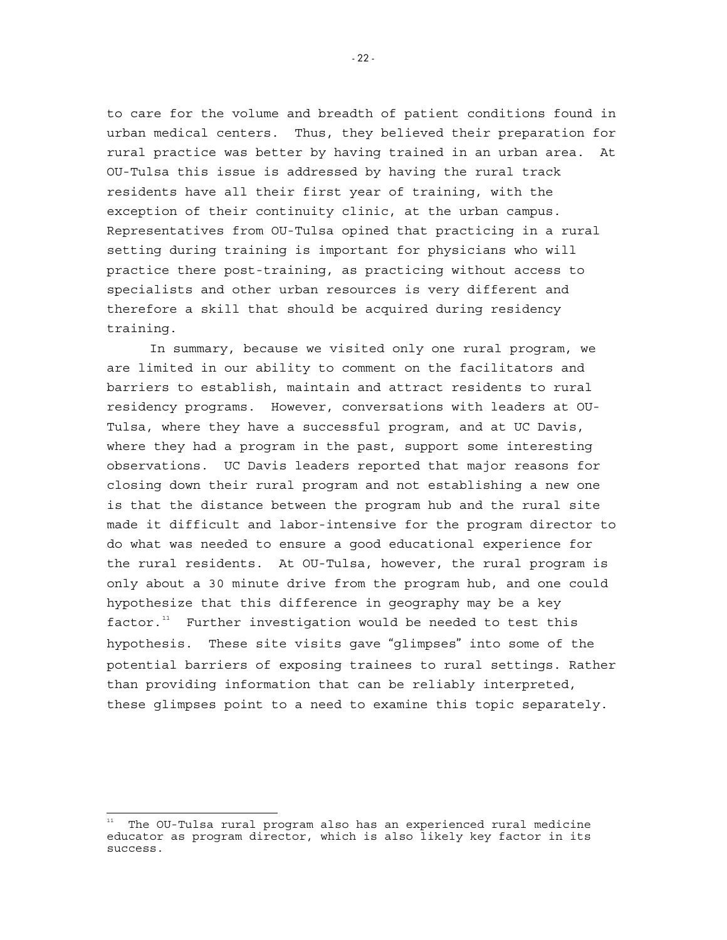to care for the volume and breadth of patient conditions found in urban medical centers. Thus, they believed their preparation for rural practice was better by having trained in an urban area. At OU-Tulsa this issue is addressed by having the rural track residents have all their first year of training, with the exception of their continuity clinic, at the urban campus. Representatives from OU-Tulsa opined that practicing in a rural setting during training is important for physicians who will practice there post-training, as practicing without access to specialists and other urban resources is very different and therefore a skill that should be acquired during residency training.

In summary, because we visited only one rural program, we are limited in our ability to comment on the facilitators and barriers to establish, maintain and attract residents to rural residency programs. However, conversations with leaders at OU-Tulsa, where they have a successful program, and at UC Davis, where they had a program in the past, support some interesting observations. UC Davis leaders reported that major reasons for closing down their rural program and not establishing a new one is that the distance between the program hub and the rural site made it difficult and labor-intensive for the program director to do what was needed to ensure a good educational experience for the rural residents. At OU-Tulsa, however, the rural program is only about a 30 minute drive from the program hub, and one could hypothesize that this difference in geography may be a key  $factor.<sup>11</sup>$  $factor.<sup>11</sup>$  $factor.<sup>11</sup>$  Further investigation would be needed to test this hypothesis. These site visits gave "glimpses" into some of the potential barriers of exposing trainees to rural settings. Rather than providing information that can be reliably interpreted, these glimpses point to a need to examine this topic separately.

 $-22-$ 

<span id="page-25-0"></span> 11 The OU-Tulsa rural program also has an experienced rural medicine educator as program director, which is also likely key factor in its success.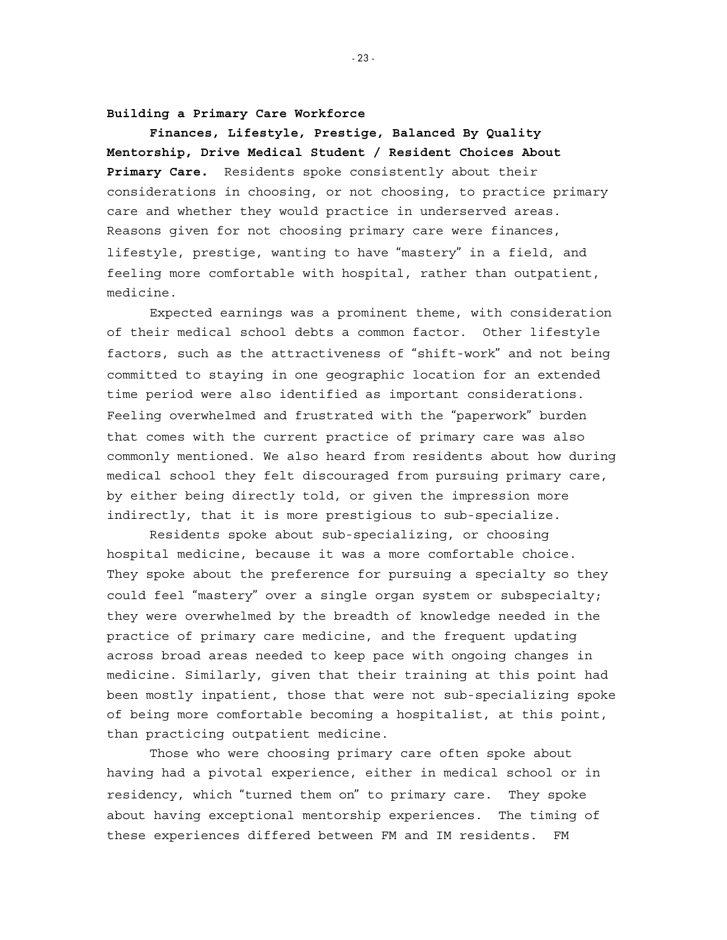**Building a Primary Care Workforce** 

**Finances, Lifestyle, Prestige, Balanced By Quality Mentorship, Drive Medical Student / Resident Choices About Primary Care.** Residents spoke consistently about their considerations in choosing, or not choosing, to practice primary care and whether they would practice in underserved areas. Reasons given for not choosing primary care were finances, lifestyle, prestige, wanting to have "mastery" in a field, and feeling more comfortable with hospital, rather than outpatient, medicine.

Expected earnings was a prominent theme, with consideration of their medical school debts a common factor. Other lifestyle factors, such as the attractiveness of "shift-work" and not being committed to staying in one geographic location for an extended time period were also identified as important considerations. Feeling overwhelmed and frustrated with the "paperwork" burden that comes with the current practice of primary care was also commonly mentioned. We also heard from residents about how during medical school they felt discouraged from pursuing primary care, by either being directly told, or given the impression more indirectly, that it is more prestigious to sub-specialize.

Residents spoke about sub-specializing, or choosing hospital medicine, because it was a more comfortable choice. They spoke about the preference for pursuing a specialty so they could feel "mastery" over a single organ system or subspecialty; they were overwhelmed by the breadth of knowledge needed in the practice of primary care medicine, and the frequent updating across broad areas needed to keep pace with ongoing changes in medicine. Similarly, given that their training at this point had been mostly inpatient, those that were not sub-specializing spoke of being more comfortable becoming a hospitalist, at this point, than practicing outpatient medicine.

Those who were choosing primary care often spoke about having had a pivotal experience, either in medical school or in residency, which "turned them on" to primary care. They spoke about having exceptional mentorship experiences. The timing of these experiences differed between FM and IM residents. FM

- 23 -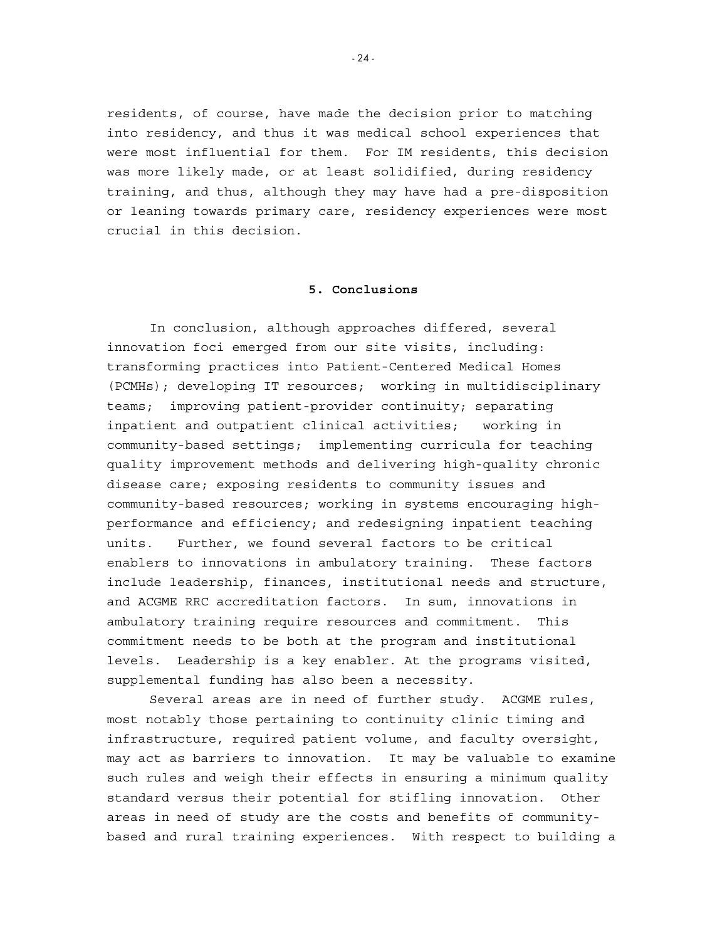residents, of course, have made the decision prior to matching into residency, and thus it was medical school experiences that were most influential for them. For IM residents, this decision was more likely made, or at least solidified, during residency training, and thus, although they may have had a pre-disposition or leaning towards primary care, residency experiences were most crucial in this decision.

#### **5. Conclusions**

In conclusion, although approaches differed, several innovation foci emerged from our site visits, including: transforming practices into Patient-Centered Medical Homes (PCMHs); developing IT resources; working in multidisciplinary teams; improving patient-provider continuity; separating inpatient and outpatient clinical activities; working in community-based settings; implementing curricula for teaching quality improvement methods and delivering high-quality chronic disease care; exposing residents to community issues and community-based resources; working in systems encouraging highperformance and efficiency; and redesigning inpatient teaching units. Further, we found several factors to be critical enablers to innovations in ambulatory training. These factors include leadership, finances, institutional needs and structure, and ACGME RRC accreditation factors. In sum, innovations in ambulatory training require resources and commitment. This commitment needs to be both at the program and institutional levels. Leadership is a key enabler. At the programs visited, supplemental funding has also been a necessity.

Several areas are in need of further study. ACGME rules, most notably those pertaining to continuity clinic timing and infrastructure, required patient volume, and faculty oversight, may act as barriers to innovation. It may be valuable to examine such rules and weigh their effects in ensuring a minimum quality standard versus their potential for stifling innovation. Other areas in need of study are the costs and benefits of communitybased and rural training experiences. With respect to building a

 $-24$